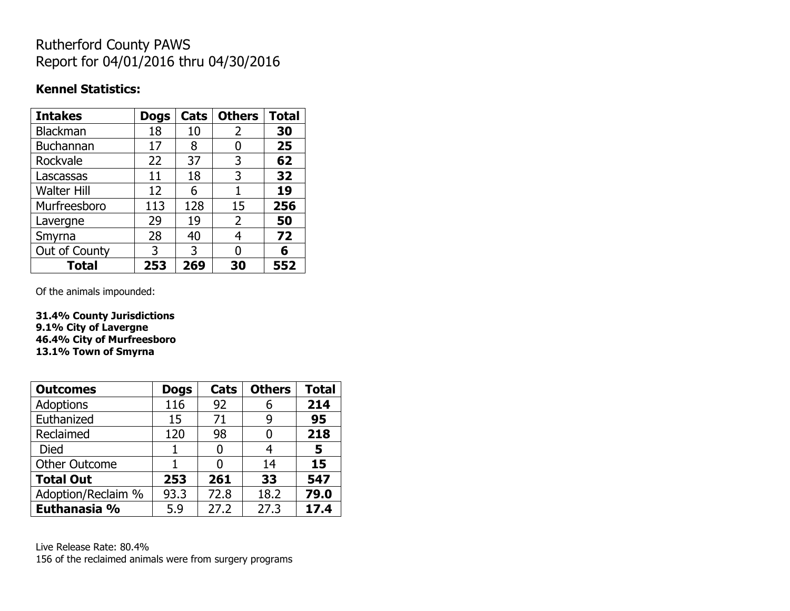# Rutherford County PAWS Report for 04/01/2016 thru 04/30/2016

#### **Kennel Statistics:**

| <b>Intakes</b>     | <b>Dogs</b> | Cats | <b>Others</b> | <b>Total</b> |
|--------------------|-------------|------|---------------|--------------|
| <b>Blackman</b>    | 18          | 10   | 2             | 30           |
| <b>Buchannan</b>   | 17          | 8    | 0             | 25           |
| Rockvale           | 22          | 37   | 3             | 62           |
| Lascassas          | 11          | 18   | 3             | 32           |
| <b>Walter Hill</b> | 12          | 6    | 1             | 19           |
| Murfreesboro       | 113         | 128  | 15            | 256          |
| Lavergne           | 29          | 19   | 2             | 50           |
| Smyrna             | 28          | 40   | 4             | 72           |
| Out of County      | 3           | 3    | 0             | 6            |
| Total              | 253         | 269  | 30            | 552          |

Of the animals impounded:

**31.4% County Jurisdictions 9.1% City of Lavergne 46.4% City of Murfreesboro 13.1% Town of Smyrna**

| <b>Outcomes</b>      | <b>Dogs</b> | <b>Cats</b> | <b>Others</b> | <b>Total</b> |
|----------------------|-------------|-------------|---------------|--------------|
| <b>Adoptions</b>     | 116         | 92          | 6             | 214          |
| Euthanized           | 15          | 71          | 9             | 95           |
| Reclaimed            | 120         | 98          | O             | 218          |
| <b>Died</b>          |             |             | 4             | 5            |
| <b>Other Outcome</b> |             |             | 14            | 15           |
| <b>Total Out</b>     | 253         | 261         | 33            | 547          |
| Adoption/Reclaim %   | 93.3        | 72.8        | 18.2          | 79.0         |
| Euthanasia %         | 5.9         | 27.2        | 27.3          | 17.4         |

Live Release Rate: 80.4% 156 of the reclaimed animals were from surgery programs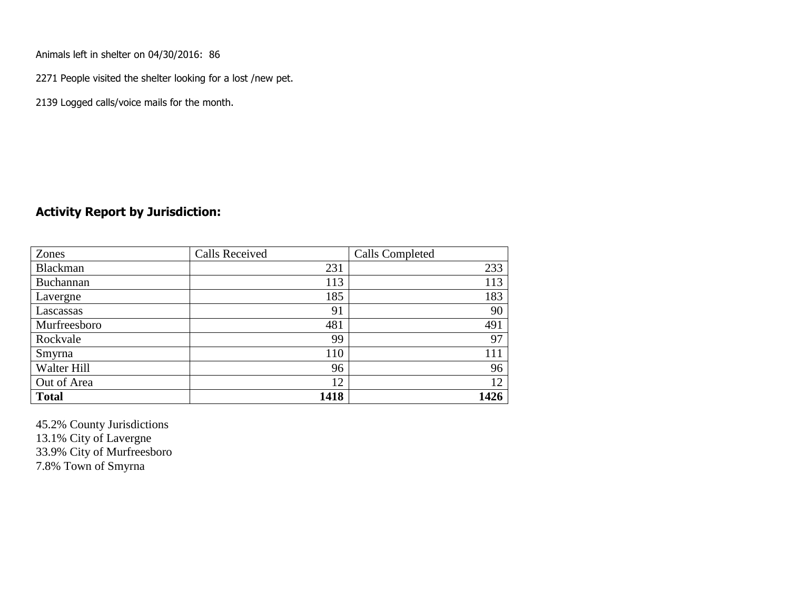Animals left in shelter on 04/30/2016: 86

2271 People visited the shelter looking for a lost /new pet.

2139 Logged calls/voice mails for the month.

#### **Activity Report by Jurisdiction:**

| Zones           | <b>Calls Received</b> | Calls Completed |
|-----------------|-----------------------|-----------------|
| <b>Blackman</b> | 231                   | 233             |
| Buchannan       | 113                   | 113             |
| Lavergne        | 185                   | 183             |
| Lascassas       | 91                    | 90              |
| Murfreesboro    | 481                   | 491             |
| Rockvale        | 99                    | 97              |
| Smyrna          | 110                   | 111             |
| Walter Hill     | 96                    | 96              |
| Out of Area     | 12                    | 12              |
| <b>Total</b>    | 1418                  | 1426            |

45.2% County Jurisdictions 13.1% City of Lavergne 33.9% City of Murfreesboro 7.8% Town of Smyrna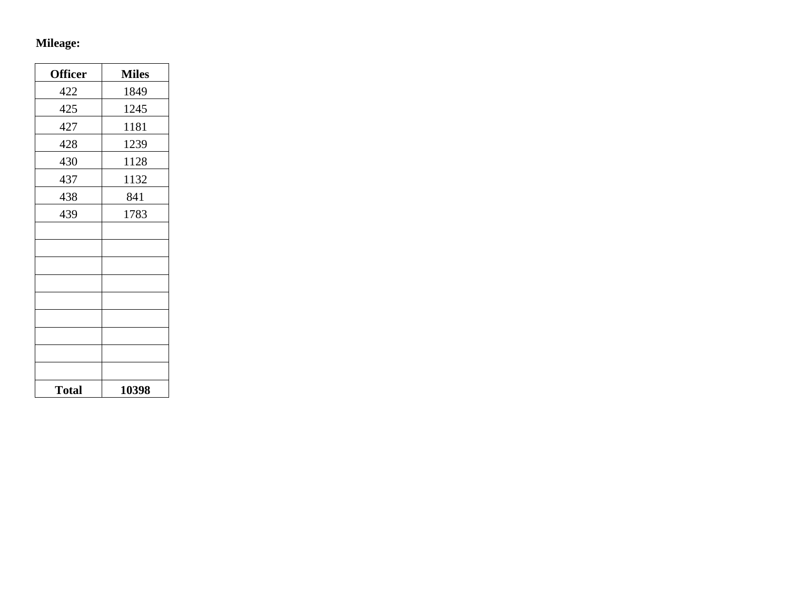# **Mileage:**

| <b>Officer</b> | <b>Miles</b> |
|----------------|--------------|
| 422            | 1849         |
| 425            | 1245         |
| 427            | 1181         |
| 428            | 1239         |
| 430            | 1128         |
| 437            | 1132         |
| 438            | 841          |
| 439            | 1783         |
|                |              |
|                |              |
|                |              |
|                |              |
|                |              |
|                |              |
|                |              |
|                |              |
|                |              |
| <b>Total</b>   | 10398        |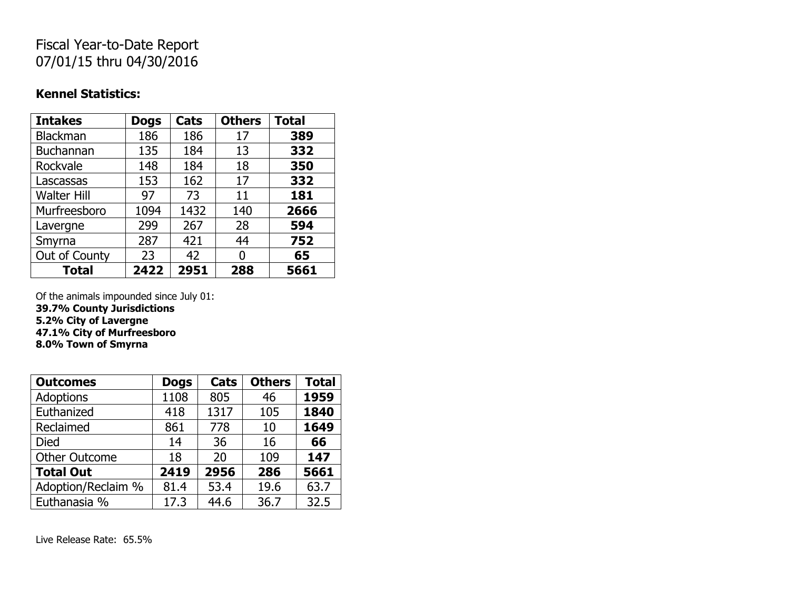## Fiscal Year-to-Date Report 07/01/15 thru 04/30/2016

#### **Kennel Statistics:**

| <b>Intakes</b>     | <b>Dogs</b> | Cats | <b>Others</b> | <b>Total</b> |
|--------------------|-------------|------|---------------|--------------|
| <b>Blackman</b>    | 186         | 186  | 17            | 389          |
| Buchannan          | 135         | 184  | 13            | 332          |
| Rockvale           | 148         | 184  | 18            | 350          |
| Lascassas          | 153         | 162  | 17            | 332          |
| <b>Walter Hill</b> | 97          | 73   | 11            | 181          |
| Murfreesboro       | 1094        | 1432 | 140           | 2666         |
| Lavergne           | 299         | 267  | 28            | 594          |
| Smyrna             | 287         | 421  | 44            | 752          |
| Out of County      | 23          | 42   | N             | 65           |
| <b>Total</b>       | 2422        | 2951 | 288           | 5661         |

Of the animals impounded since July 01: **39.7% County Jurisdictions 5.2% City of Lavergne 47.1% City of Murfreesboro 8.0% Town of Smyrna**

| <b>Outcomes</b>      | <b>Dogs</b> | Cats | <b>Others</b> | <b>Total</b> |
|----------------------|-------------|------|---------------|--------------|
| <b>Adoptions</b>     | 1108        | 805  | 46            | 1959         |
| Euthanized           | 418         | 1317 | 105           | 1840         |
| Reclaimed            | 861         | 778  | 10            | 1649         |
| <b>Died</b>          | 14          | 36   | 16            | 66           |
| <b>Other Outcome</b> | 18          | 20   | 109           | 147          |
| <b>Total Out</b>     | 2419        | 2956 | 286           | 5661         |
| Adoption/Reclaim %   | 81.4        | 53.4 | 19.6          | 63.7         |
| Euthanasia %         | 17.3        | 44.6 | 36.7          | 32.5         |

Live Release Rate: 65.5%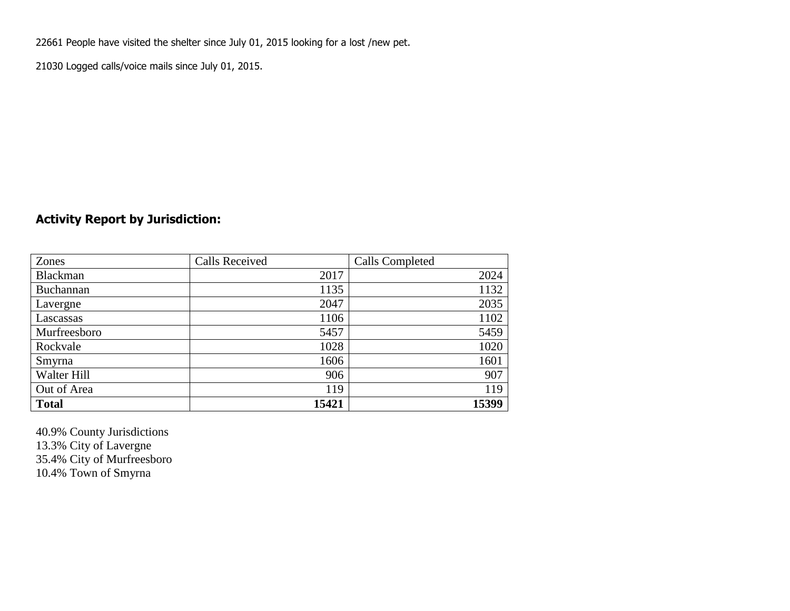22661 People have visited the shelter since July 01, 2015 looking for a lost /new pet.

21030 Logged calls/voice mails since July 01, 2015.

### **Activity Report by Jurisdiction:**

| Zones           | <b>Calls Received</b> | Calls Completed |
|-----------------|-----------------------|-----------------|
| <b>Blackman</b> | 2017                  | 2024            |
| Buchannan       | 1135                  | 1132            |
| Lavergne        | 2047                  | 2035            |
| Lascassas       | 1106                  | 1102            |
| Murfreesboro    | 5457                  | 5459            |
| Rockvale        | 1028                  | 1020            |
| Smyrna          | 1606                  | 1601            |
| Walter Hill     | 906                   | 907             |
| Out of Area     | 119                   | 119             |
| <b>Total</b>    | 15421                 | 15399           |

40.9% County Jurisdictions 13.3% City of Lavergne 35.4% City of Murfreesboro 10.4% Town of Smyrna